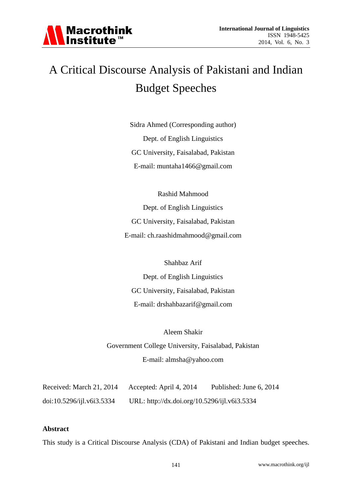

# A Critical Discourse Analysis of Pakistani and Indian Budget Speeches

Sidra Ahmed (Corresponding author) Dept. of English Linguistics GC University, Faisalabad, Pakistan E-mail: muntaha1466@gmail.com

Rashid Mahmood Dept. of English Linguistics GC University, Faisalabad, Pakistan E-mail: ch.raashidmahmood@gmail.com

Shahbaz Arif Dept. of English Linguistics GC University, Faisalabad, Pakistan E-mail: drshahbazarif@gmail.com

Aleem Shakir Government College University, Faisalabad, Pakistan E-mail: almsha@yahoo.com

Received: March 21, 2014 Accepted: April 4, 2014 Published: June 6, 2014 doi:10.5296/ijl.v6i3.5334 URL: http://dx.doi.org/10.5296/ijl.v6i3.5334

#### **Abstract**

This study is a Critical Discourse Analysis (CDA) of Pakistani and Indian budget speeches.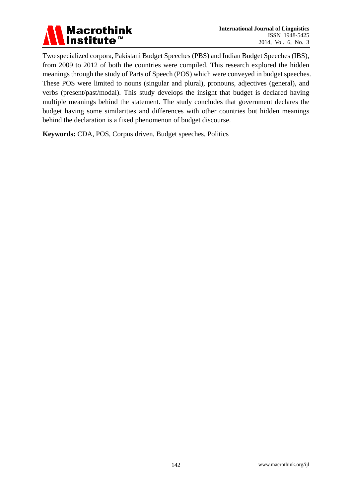

Two specialized corpora, Pakistani Budget Speeches (PBS) and Indian Budget Speeches (IBS), from 2009 to 2012 of both the countries were compiled. This research explored the hidden meanings through the study of Parts of Speech (POS) which were conveyed in budget speeches. These POS were limited to nouns (singular and plural), pronouns, adjectives (general), and verbs (present/past/modal). This study develops the insight that budget is declared having multiple meanings behind the statement. The study concludes that government declares the budget having some similarities and differences with other countries but hidden meanings behind the declaration is a fixed phenomenon of budget discourse.

**Keywords:** CDA, POS, Corpus driven, Budget speeches, Politics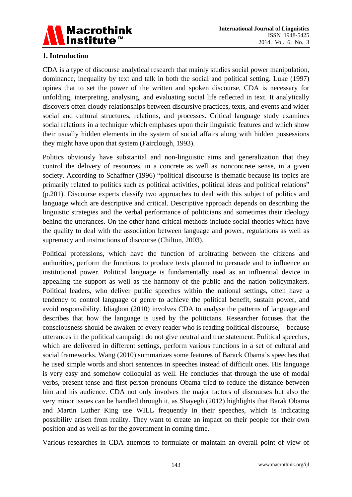

## **1. Introduction**

CDA is a type of discourse analytical research that mainly studies social power manipulation, dominance, inequality by text and talk in both the social and political setting. Luke (1997) opines that to set the power of the written and spoken discourse, CDA is necessary for unfolding, interpreting, analysing, and evaluating social life reflected in text. It analytically discovers often cloudy relationships between discursive practices, texts, and events and wider social and cultural structures, relations, and processes. Critical language study examines social relations in a technique which emphases upon their linguistic features and which show their usually hidden elements in the system of social affairs along with hidden possessions they might have upon that system (Fairclough, 1993).

Politics obviously have substantial and non-linguistic aims and generalization that they control the delivery of resources, in a concrete as well as nonconcrete sense, in a given society. According to Schaffner (1996) "political discourse is thematic because its topics are primarily related to politics such as political activities, political ideas and political relations" (p.201). Discourse experts classify two approaches to deal with this subject of politics and language which are descriptive and critical. Descriptive approach depends on describing the linguistic strategies and the verbal performance of politicians and sometimes their ideology behind the utterances. On the other hand critical methods include social theories which have the quality to deal with the association between language and power, regulations as well as supremacy and instructions of discourse (Chilton, 2003).

Political professions, which have the function of arbitrating between the citizens and authorities, perform the functions to produce texts planned to persuade and to influence an institutional power. Political language is fundamentally used as an influential device in appealing the support as well as the harmony of the public and the nation policymakers. Political leaders, who deliver public speeches within the national settings, often have a tendency to control language or genre to achieve the political benefit, sustain power, and avoid responsibility. Idiagbon (2010) involves CDA to analyse the patterns of language and describes that how the language is used by the politicians. Researcher focuses that the consciousness should be awaken of every reader who is reading political discourse, because utterances in the political campaign do not give neutral and true statement. Political speeches, which are delivered in different settings, perform various functions in a set of cultural and social frameworks. Wang (2010) summarizes some features of Barack Obama's speeches that he used simple words and short sentences in speeches instead of difficult ones. His language is very easy and somehow colloquial as well. He concludes that through the use of modal verbs, present tense and first person pronouns Obama tried to reduce the distance between him and his audience. CDA not only involves the major factors of discourses but also the very minor issues can be handled through it, as Shayegh (2012) highlights that Barak Obama and Martin Luther King use WILL frequently in their speeches, which is indicating possibility arisen from reality. They want to create an impact on their people for their own position and as well as for the government in coming time.

Various researches in CDA attempts to formulate or maintain an overall point of view of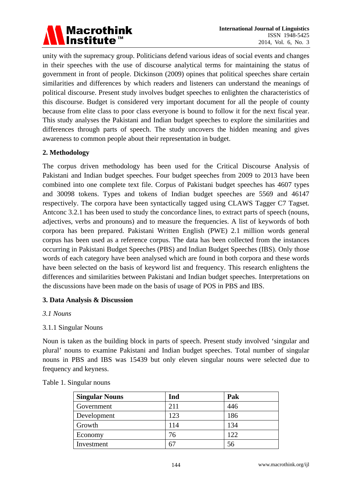

unity with the supremacy group. Politicians defend various ideas of social events and changes in their speeches with the use of discourse analytical terms for maintaining the status of government in front of people. Dickinson (2009) opines that political speeches share certain similarities and differences by which readers and listeners can understand the meanings of political discourse. Present study involves budget speeches to enlighten the characteristics of this discourse. Budget is considered very important document for all the people of county because from elite class to poor class everyone is bound to follow it for the next fiscal year. This study analyses the Pakistani and Indian budget speeches to explore the similarities and differences through parts of speech. The study uncovers the hidden meaning and gives awareness to common people about their representation in budget.

## **2. Methodology**

The corpus driven methodology has been used for the Critical Discourse Analysis of Pakistani and Indian budget speeches. Four budget speeches from 2009 to 2013 have been combined into one complete text file. Corpus of Pakistani budget speeches has 4607 types and 30098 tokens. Types and tokens of Indian budget speeches are 5569 and 46147 respectively. The corpora have been syntactically tagged using CLAWS Tagger C7 Tagset. Antconc 3.2.1 has been used to study the concordance lines, to extract parts of speech (nouns, adjectives, verbs and pronouns) and to measure the frequencies. A list of keywords of both corpora has been prepared. Pakistani Written English (PWE) 2.1 million words general corpus has been used as a reference corpus. The data has been collected from the instances occurring in Pakistani Budget Speeches (PBS) and Indian Budget Speeches (IBS). Only those words of each category have been analysed which are found in both corpora and these words have been selected on the basis of keyword list and frequency. This research enlightens the differences and similarities between Pakistani and Indian budget speeches. Interpretations on the discussions have been made on the basis of usage of POS in PBS and IBS.

## **3. Data Analysis & Discussion**

#### *3.1 Nouns*

## 3.1.1 Singular Nouns

Noun is taken as the building block in parts of speech. Present study involved 'singular and plural' nouns to examine Pakistani and Indian budget speeches. Total number of singular nouns in PBS and IBS was 15439 but only eleven singular nouns were selected due to frequency and keyness.

| <b>Singular Nouns</b> | Ind | Pak |
|-----------------------|-----|-----|
| Government            | 211 | 446 |
| Development           | 123 | 186 |
| Growth                | 114 | 134 |
| Economy               | 76  | 122 |
| Investment            |     | 56  |

#### Table 1. Singular nouns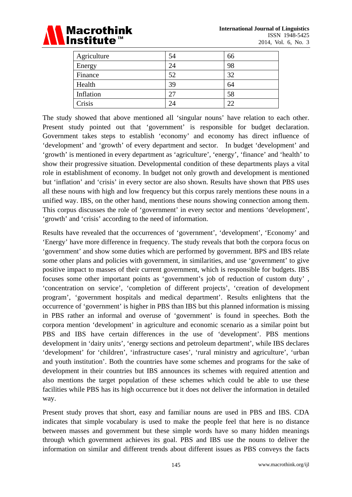

| Agriculture | 54 | 66 |
|-------------|----|----|
| Energy      | 24 | 98 |
| Finance     | 52 | 32 |
| Health      | 39 | 64 |
| Inflation   | 27 | 58 |
| Crisis      | 24 | 22 |

The study showed that above mentioned all 'singular nouns' have relation to each other. Present study pointed out that 'government' is responsible for budget declaration. Government takes steps to establish 'economy' and economy has direct influence of 'development' and 'growth' of every department and sector. In budget 'development' and 'growth' is mentioned in every department as 'agriculture', 'energy', 'finance' and 'health' to show their progressive situation. Developmental condition of these departments plays a vital role in establishment of economy. In budget not only growth and development is mentioned but 'inflation' and 'crisis' in every sector are also shown. Results have shown that PBS uses all these nouns with high and low frequency but this corpus rarely mentions these nouns in a unified way. IBS, on the other hand, mentions these nouns showing connection among them. This corpus discusses the role of 'government' in every sector and mentions 'development', 'growth' and 'crisis' according to the need of information.

Results have revealed that the occurrences of 'government', 'development', 'Economy' and 'Energy' have more difference in frequency. The study reveals that both the corpora focus on 'government' and show some duties which are performed by government. BPS and IBS relate some other plans and policies with government, in similarities, and use 'government' to give positive impact to masses of their current government, which is responsible for budgets. IBS focuses some other important points as 'government's job of reduction of custom duty' , 'concentration on service', 'completion of different projects', 'creation of development program', 'government hospitals and medical department'. Results enlightens that the occurrence of 'government' is higher in PBS than IBS but this planned information is missing in PBS rather an informal and overuse of 'government' is found in speeches. Both the corpora mention 'development' in agriculture and economic scenario as a similar point but PBS and IBS have certain differences in the use of 'development'. PBS mentions development in 'dairy units', 'energy sections and petroleum department', while IBS declares 'development' for 'children', 'infrastructure cases', 'rural ministry and agriculture', 'urban and youth institution'. Both the countries have some schemes and programs for the sake of development in their countries but IBS announces its schemes with required attention and also mentions the target population of these schemes which could be able to use these facilities while PBS has its high occurrence but it does not deliver the information in detailed way.

Present study proves that short, easy and familiar nouns are used in PBS and IBS. CDA indicates that simple vocabulary is used to make the people feel that here is no distance between masses and government but these simple words have so many hidden meanings through which government achieves its goal. PBS and IBS use the nouns to deliver the information on similar and different trends about different issues as PBS conveys the facts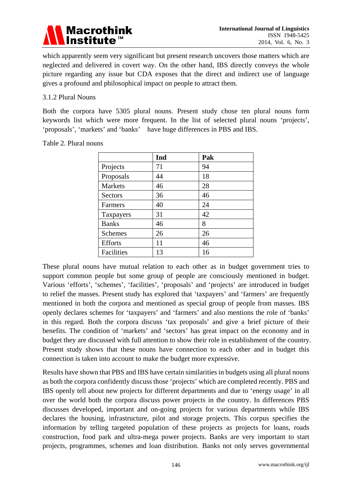

which apparently seem very significant but present research uncovers those matters which are neglected and delivered in covert way. On the other hand, IBS directly conveys the whole picture regarding any issue but CDA exposes that the direct and indirect use of language gives a profound and philosophical impact on people to attract them.

#### 3.1.2 Plural Nouns

Both the corpora have 5305 plural nouns. Present study chose ten plural nouns form keywords list which were more frequent. In the list of selected plural nouns 'projects', 'proposals', 'markets' and 'banks' have huge differences in PBS and IBS.

|                | Ind | Pak |
|----------------|-----|-----|
| Projects       | 71  | 94  |
| Proposals      | 44  | 18  |
| Markets        | 46  | 28  |
| <b>Sectors</b> | 36  | 46  |
| Farmers        | 40  | 24  |
| Taxpayers      | 31  | 42  |
| <b>Banks</b>   | 46  | 8   |
| <b>Schemes</b> | 26  | 26  |
| <b>Efforts</b> | 11  | 46  |
| Facilities     | 13  | 16  |

These plural nouns have mutual relation to each other as in budget government tries to support common people but some group of people are consciously mentioned in budget. Various 'efforts', 'schemes', 'facilities', 'proposals' and 'projects' are introduced in budget to relief the masses. Present study has explored that 'taxpayers' and 'farmers' are frequently mentioned in both the corpora and mentioned as special group of people from masses. IBS openly declares schemes for 'taxpayers' and 'farmers' and also mentions the role of 'banks' in this regard. Both the corpora discuss 'tax proposals' and give a brief picture of their benefits. The condition of 'markets' and 'sectors' has great impact on the economy and in budget they are discussed with full attention to show their role in establishment of the country. Present study shows that these nouns have connection to each other and in budget this connection is taken into account to make the budget more expressive.

Results have shown that PBS and IBS have certain similarities in budgets using all plural nouns as both the corpora confidently discuss those 'projects' which are completed recently. PBS and IBS openly tell about new projects for different departments and due to 'energy usage' in all over the world both the corpora discuss power projects in the country. In differences PBS discusses developed, important and on-going projects for various departments while IBS declares the housing, infrastructure, pilot and storage projects. This corpus specifies the information by telling targeted population of these projects as projects for loans, roads construction, food park and ultra-mega power projects. Banks are very important to start projects, programmes, schemes and loan distribution. Banks not only serves governmental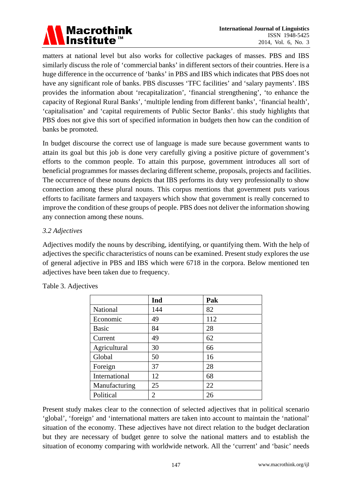

matters at national level but also works for collective packages of masses. PBS and IBS similarly discuss the role of 'commercial banks' in different sectors of their countries. Here is a huge difference in the occurrence of 'banks' in PBS and IBS which indicates that PBS does not have any significant role of banks. PBS discusses 'TFC facilities' and 'salary payments'. IBS provides the information about 'recapitalization', 'financial strengthening', 'to enhance the capacity of Regional Rural Banks', 'multiple lending from different banks', 'financial health', 'capitalisation' and 'capital requirements of Public Sector Banks'. this study highlights that PBS does not give this sort of specified information in budgets then how can the condition of banks be promoted.

In budget discourse the correct use of language is made sure because government wants to attain its goal but this job is done very carefully giving a positive picture of government's efforts to the common people. To attain this purpose, government introduces all sort of beneficial programmes for masses declaring different scheme, proposals, projects and facilities. The occurrence of these nouns depicts that IBS performs its duty very professionally to show connection among these plural nouns. This corpus mentions that government puts various efforts to facilitate farmers and taxpayers which show that government is really concerned to improve the condition of these groups of people. PBS does not deliver the information showing any connection among these nouns.

## *3.2 Adjectives*

Adjectives modify the nouns by describing, identifying, or quantifying them. With the help of adjectives the specific characteristics of nouns can be examined. Present study explores the use of general adjective in PBS and IBS which were 6718 in the corpora. Below mentioned ten adjectives have been taken due to frequency.

|               | Ind | Pak |
|---------------|-----|-----|
| National      | 144 | 82  |
| Economic      | 49  | 112 |
| <b>Basic</b>  | 84  | 28  |
| Current       | 49  | 62  |
| Agricultural  | 30  | 66  |
| Global        | 50  | 16  |
| Foreign       | 37  | 28  |
| International | 12  | 68  |
| Manufacturing | 25  | 22  |
| Political     | 2   | 26  |

Table 3. Adjectives

Present study makes clear to the connection of selected adjectives that in political scenario 'global', 'foreign' and 'international matters are taken into account to maintain the 'national' situation of the economy. These adjectives have not direct relation to the budget declaration but they are necessary of budget genre to solve the national matters and to establish the situation of economy comparing with worldwide network. All the 'current' and 'basic' needs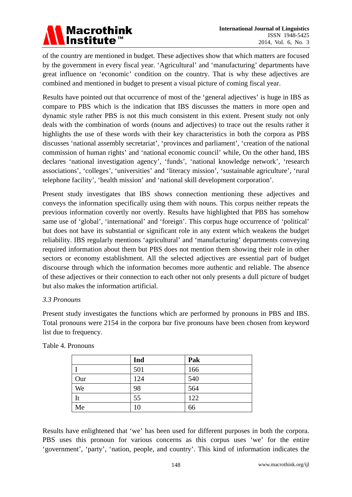of the country are mentioned in budget. These adjectives show that which matters are focused by the government in every fiscal year. 'Agricultural' and 'manufacturing' departments have great influence on 'economic' condition on the country. That is why these adjectives are combined and mentioned in budget to present a visual picture of coming fiscal year.

Results have pointed out that occurrence of most of the 'general adjectives' is huge in IBS as compare to PBS which is the indication that IBS discusses the matters in more open and dynamic style rather PBS is not this much consistent in this extent. Present study not only deals with the combination of words (nouns and adjectives) to trace out the results rather it highlights the use of these words with their key characteristics in both the corpora as PBS discusses 'national assembly secretariat', 'provinces and parliament', 'creation of the national commission of human rights' and 'national economic council' while, On the other hand, IBS declares 'national investigation agency', 'funds', 'national knowledge network', 'research associations', 'colleges', 'universities' and 'literacy mission', 'sustainable agriculture', 'rural telephone facility', 'health mission' and 'national skill development corporation'.

Present study investigates that IBS shows connection mentioning these adjectives and conveys the information specifically using them with nouns. This corpus neither repeats the previous information covertly nor overtly. Results have highlighted that PBS has somehow same use of 'global', 'international' and 'foreign'. This corpus huge occurrence of 'political' but does not have its substantial or significant role in any extent which weakens the budget reliability. IBS regularly mentions 'agricultural' and 'manufacturing' departments conveying required information about them but PBS does not mention them showing their role in other sectors or economy establishment. All the selected adjectives are essential part of budget discourse through which the information becomes more authentic and reliable. The absence of these adjectives or their connection to each other not only presents a dull picture of budget but also makes the information artificial.

#### *3.3 Pronouns*

Present study investigates the functions which are performed by pronouns in PBS and IBS. Total pronouns were 2154 in the corpora bur five pronouns have been chosen from keyword list due to frequency.

|     | Ind | Pak |
|-----|-----|-----|
|     | 501 | 166 |
| Our | 124 | 540 |
| We  | 98  | 564 |
| It  | 55  | 122 |
| Me  | 10  | 66  |

Table 4. Pronouns

Results have enlightened that 'we' has been used for different purposes in both the corpora. PBS uses this pronoun for various concerns as this corpus uses 'we' for the entire 'government', 'party', 'nation, people, and country'. This kind of information indicates the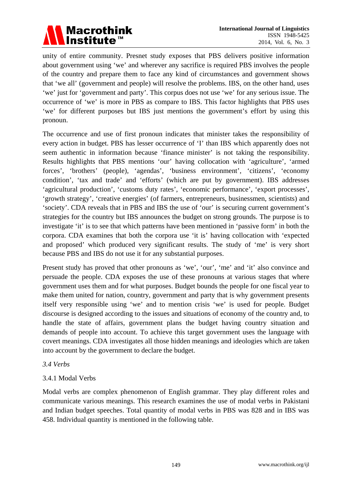

unity of entire community. Presnet study exposes that PBS delivers positive information about government using 'we' and wherever any sacrifice is required PBS involves the people of the country and prepare them to face any kind of circumstances and government shows that 'we all' (government and people) will resolve the problems. IBS, on the other hand, uses 'we' just for 'government and party'. This corpus does not use 'we' for any serious issue. The occurrence of 'we' is more in PBS as compare to IBS. This factor highlights that PBS uses 'we' for different purposes but IBS just mentions the government's effort by using this pronoun.

The occurrence and use of first pronoun indicates that minister takes the responsibility of every action in budget. PBS has lesser occurrence of 'I' than IBS which apparently does not seem authentic in information because 'finance minister' is not taking the responsibility. Results highlights that PBS mentions 'our' having collocation with 'agriculture', 'armed forces', 'brothers' (people), 'agendas', 'business environment', 'citizens', 'economy condition', 'tax and trade' and 'efforts' (which are put by government). IBS addresses 'agricultural production', 'customs duty rates', 'economic performance', 'export processes', 'growth strategy', 'creative energies' (of farmers, entrepreneurs, businessmen, scientists) and 'society'. CDA reveals that in PBS and IBS the use of 'our' is securing current government's strategies for the country but IBS announces the budget on strong grounds. The purpose is to investigate 'it' is to see that which patterns have been mentioned in 'passive form' in both the corpora. CDA examines that both the corpora use 'it is' having collocation with 'expected and proposed' which produced very significant results. The study of 'me' is very short because PBS and IBS do not use it for any substantial purposes.

Present study has proved that other pronouns as 'we', 'our', 'me' and 'it' also convince and persuade the people. CDA exposes the use of these pronouns at various stages that where government uses them and for what purposes. Budget bounds the people for one fiscal year to make them united for nation, country, government and party that is why government presents itself very responsible using 'we' and to mention crisis 'we' is used for people. Budget discourse is designed according to the issues and situations of economy of the country and, to handle the state of affairs, government plans the budget having country situation and demands of people into account. To achieve this target government uses the language with covert meanings. CDA investigates all those hidden meanings and ideologies which are taken into account by the government to declare the budget.

#### *3.4 Verbs*

## 3.4.1 Modal Verbs

Modal verbs are complex phenomenon of English grammar. They play different roles and communicate various meanings. This research examines the use of modal verbs in Pakistani and Indian budget speeches. Total quantity of modal verbs in PBS was 828 and in IBS was 458. Individual quantity is mentioned in the following table.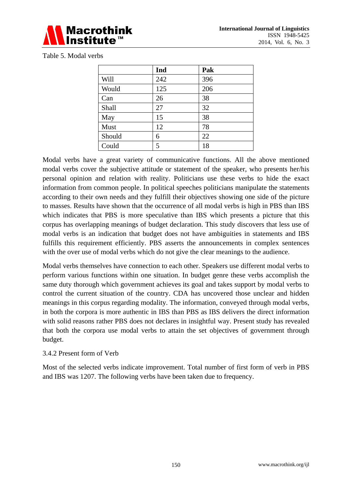

Table 5. Modal verbs

|        | Ind | Pak |
|--------|-----|-----|
| Will   | 242 | 396 |
| Would  | 125 | 206 |
| Can    | 26  | 38  |
| Shall  | 27  | 32  |
| May    | 15  | 38  |
| Must   | 12  | 78  |
| Should | 6   | 22  |
| Could  | 5   | 18  |

Modal verbs have a great variety of communicative functions. All the above mentioned modal verbs cover the subjective attitude or statement of the speaker, who presents her/his personal opinion and relation with reality. Politicians use these verbs to hide the exact information from common people. In political speeches politicians manipulate the statements according to their own needs and they fulfill their objectives showing one side of the picture to masses. Results have shown that the occurrence of all modal verbs is high in PBS than IBS which indicates that PBS is more speculative than IBS which presents a picture that this corpus has overlapping meanings of budget declaration. This study discovers that less use of modal verbs is an indication that budget does not have ambiguities in statements and IBS fulfills this requirement efficiently. PBS asserts the announcements in complex sentences with the over use of modal verbs which do not give the clear meanings to the audience.

Modal verbs themselves have connection to each other. Speakers use different modal verbs to perform various functions within one situation. In budget genre these verbs accomplish the same duty thorough which government achieves its goal and takes support by modal verbs to control the current situation of the country. CDA has uncovered those unclear and hidden meanings in this corpus regarding modality. The information, conveyed through modal verbs, in both the corpora is more authentic in IBS than PBS as IBS delivers the direct information with solid reasons rather PBS does not declares in insightful way. Present study has revealed that both the corpora use modal verbs to attain the set objectives of government through budget.

#### 3.4.2 Present form of Verb

Most of the selected verbs indicate improvement. Total number of first form of verb in PBS and IBS was 1207. The following verbs have been taken due to frequency.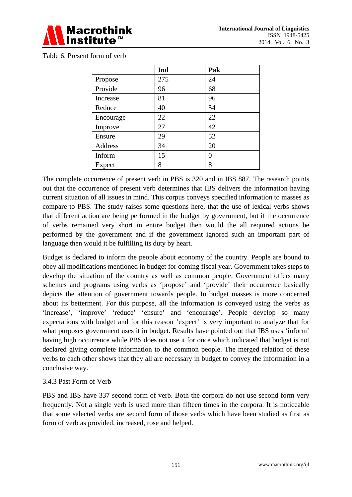

|  | Table 6. Present form of verb |  |
|--|-------------------------------|--|
|--|-------------------------------|--|

|           | Ind | Pak |
|-----------|-----|-----|
| Propose   | 275 | 24  |
| Provide   | 96  | 68  |
| Increase  | 81  | 96  |
| Reduce    | 40  | 54  |
| Encourage | 22  | 22  |
| Improve   | 27  | 42  |
| Ensure    | 29  | 52  |
| Address   | 34  | 20  |
| Inform    | 15  | 0   |
| Expect    | 8   | 8   |

The complete occurrence of present verb in PBS is 320 and in IBS 887. The research points out that the occurrence of present verb determines that IBS delivers the information having current situation of all issues in mind. This corpus conveys specified information to masses as compare to PBS. The study raises some questions here, that the use of lexical verbs shows that different action are being performed in the budget by government, but if the occurrence of verbs remained very short in entire budget then would the all required actions be performed by the government and if the government ignored such an important part of language then would it be fulfilling its duty by heart.

Budget is declared to inform the people about economy of the country. People are bound to obey all modifications mentioned in budget for coming fiscal year. Government takes steps to develop the situation of the country as well as common people. Government offers many schemes and programs using verbs as 'propose' and 'provide' their occurrence basically depicts the attention of government towards people. In budget masses is more concerned about its betterment. For this purpose, all the information is conveyed using the verbs as 'increase', 'improve' 'reduce' 'ensure' and 'encourage'. People develop so many expectations with budget and for this reason 'expect' is very important to analyze that for what purposes government uses it in budget. Results have pointed out that IBS uses 'inform' having high occurrence while PBS does not use it for once which indicated that budget is not declared giving complete information to the common people. The merged relation of these verbs to each other shows that they all are necessary in budget to convey the information in a conclusive way.

## 3.4.3 Past Form of Verb

PBS and IBS have 337 second form of verb. Both the corpora do not use second form very frequently. Not a single verb is used more than fifteen times in the corpora. It is noticeable that some selected verbs are second form of those verbs which have been studied as first as form of verb as provided, increased, rose and helped.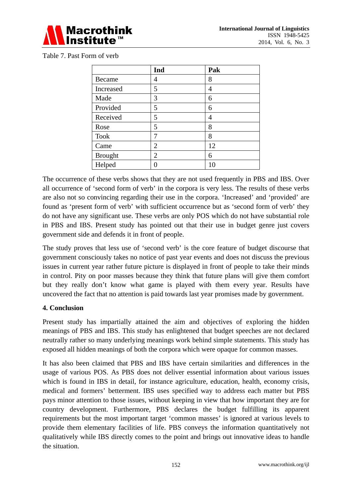

|                | Ind            | Pak |
|----------------|----------------|-----|
| Became         | 4              | 8   |
| Increased      | 5              | 4   |
| Made           | 3              | 6   |
| Provided       | 5              | 6   |
| Received       | 5              | 4   |
| Rose           | 5              | 8   |
| <b>Took</b>    | 7              | 8   |
| Came           | $\overline{2}$ | 12  |
| <b>Brought</b> | $\overline{2}$ | 6   |
| Helped         |                |     |

The occurrence of these verbs shows that they are not used frequently in PBS and IBS. Over all occurrence of 'second form of verb' in the corpora is very less. The results of these verbs are also not so convincing regarding their use in the corpora. 'Increased' and 'provided' are found as 'present form of verb' with sufficient occurrence but as 'second form of verb' they do not have any significant use. These verbs are only POS which do not have substantial role in PBS and IBS. Present study has pointed out that their use in budget genre just covers government side and defends it in front of people.

The study proves that less use of 'second verb' is the core feature of budget discourse that government consciously takes no notice of past year events and does not discuss the previous issues in current year rather future picture is displayed in front of people to take their minds in control. Pity on poor masses because they think that future plans will give them comfort but they really don't know what game is played with them every year. Results have uncovered the fact that no attention is paid towards last year promises made by government.

## **4. Conclusion**

Present study has impartially attained the aim and objectives of exploring the hidden meanings of PBS and IBS. This study has enlightened that budget speeches are not declared neutrally rather so many underlying meanings work behind simple statements. This study has exposed all hidden meanings of both the corpora which were opaque for common masses.

It has also been claimed that PBS and IBS have certain similarities and differences in the usage of various POS. As PBS does not deliver essential information about various issues which is found in IBS in detail, for instance agriculture, education, health, economy crisis, medical and formers' betterment. IBS uses specified way to address each matter but PBS pays minor attention to those issues, without keeping in view that how important they are for country development. Furthermore, PBS declares the budget fulfilling its apparent requirements but the most important target 'common masses' is ignored at various levels to provide them elementary facilities of life. PBS conveys the information quantitatively not qualitatively while IBS directly comes to the point and brings out innovative ideas to handle the situation.